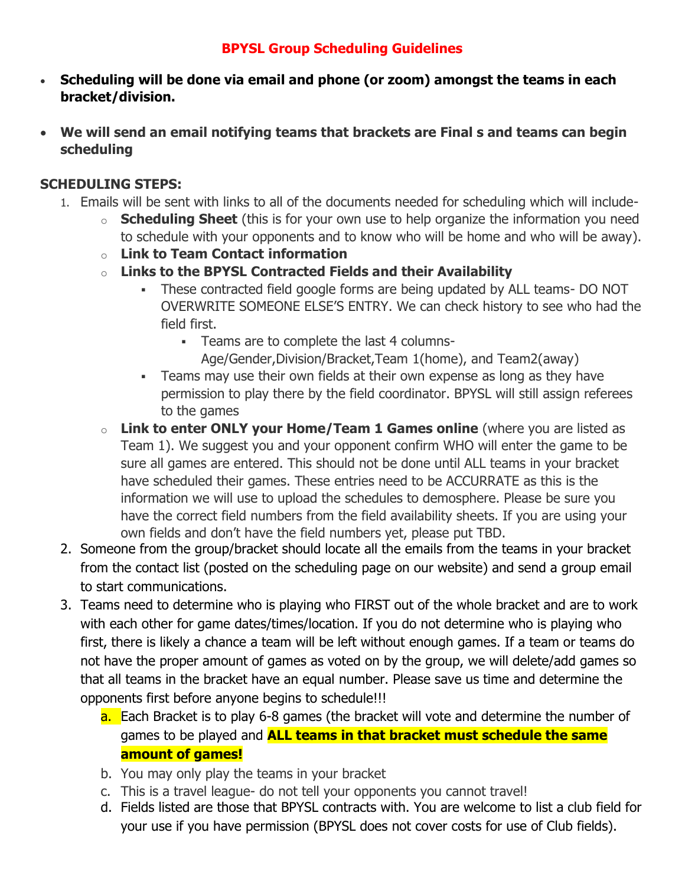## **BPYSL Group Scheduling Guidelines**

- **Scheduling will be done via email and phone (or zoom) amongst the teams in each bracket/division.**
- **We will send an email notifying teams that brackets are Final s and teams can begin scheduling**

## **SCHEDULING STEPS:**

- 1. Emails will be sent with links to all of the documents needed for scheduling which will include
	- o **Scheduling Sheet** (this is for your own use to help organize the information you need to schedule with your opponents and to know who will be home and who will be away).
	- o **Link to Team Contact information**
	- o **Links to the BPYSL Contracted Fields and their Availability**
		- These contracted field google forms are being updated by ALL teams- DO NOT OVERWRITE SOMEONE ELSE'S ENTRY. We can check history to see who had the field first.
			- Teams are to complete the last 4 columns-
				- Age/Gender,Division/Bracket,Team 1(home), and Team2(away)
		- Teams may use their own fields at their own expense as long as they have permission to play there by the field coordinator. BPYSL will still assign referees to the games
	- o **Link to enter ONLY your Home/Team 1 Games online** (where you are listed as Team 1). We suggest you and your opponent confirm WHO will enter the game to be sure all games are entered. This should not be done until ALL teams in your bracket have scheduled their games. These entries need to be ACCURRATE as this is the information we will use to upload the schedules to demosphere. Please be sure you have the correct field numbers from the field availability sheets. If you are using your own fields and don't have the field numbers yet, please put TBD.
- 2. Someone from the group/bracket should locate all the emails from the teams in your bracket from the contact list (posted on the scheduling page on our website) and send a group email to start communications.
- 3. Teams need to determine who is playing who FIRST out of the whole bracket and are to work with each other for game dates/times/location. If you do not determine who is playing who first, there is likely a chance a team will be left without enough games. If a team or teams do not have the proper amount of games as voted on by the group, we will delete/add games so that all teams in the bracket have an equal number. Please save us time and determine the opponents first before anyone begins to schedule!!!
	- a. Each Bracket is to play 6-8 games (the bracket will vote and determine the number of games to be played and **ALL teams in that bracket must schedule the same amount of games!**
	- b. You may only play the teams in your bracket
	- c. This is a travel league- do not tell your opponents you cannot travel!
	- d. Fields listed are those that BPYSL contracts with. You are welcome to list a club field for your use if you have permission (BPYSL does not cover costs for use of Club fields).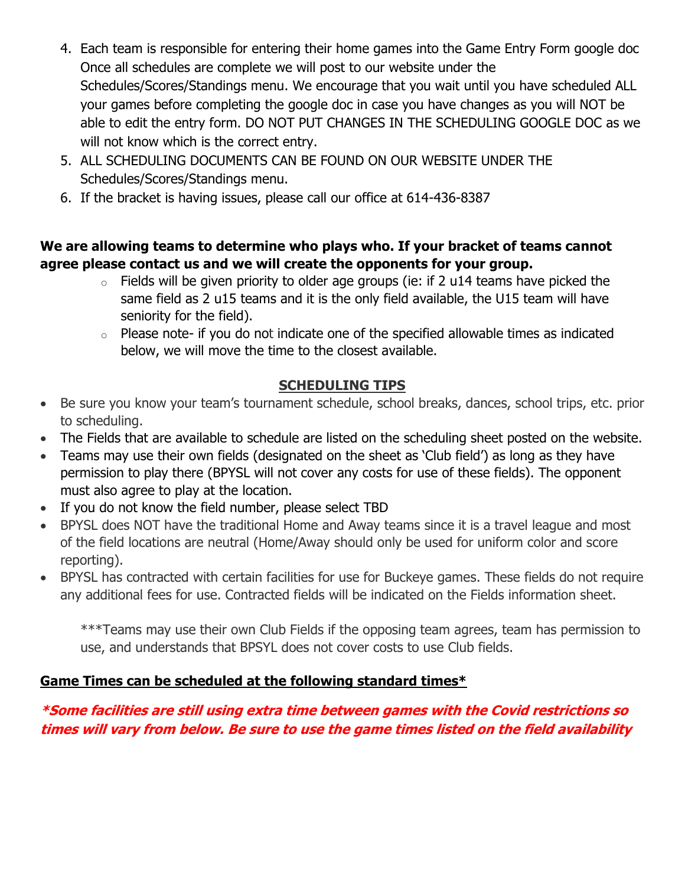- 4. Each team is responsible for entering their home games into the Game Entry Form google doc Once all schedules are complete we will post to our website under the Schedules/Scores/Standings menu. We encourage that you wait until you have scheduled ALL your games before completing the google doc in case you have changes as you will NOT be able to edit the entry form. DO NOT PUT CHANGES IN THE SCHEDULING GOOGLE DOC as we will not know which is the correct entry.
- 5. ALL SCHEDULING DOCUMENTS CAN BE FOUND ON OUR WEBSITE UNDER THE Schedules/Scores/Standings menu.
- 6. If the bracket is having issues, please call our office at 614-436-8387

### **We are allowing teams to determine who plays who. If your bracket of teams cannot agree please contact us and we will create the opponents for your group.**

- $\circ$  Fields will be given priority to older age groups (ie: if 2 u14 teams have picked the same field as 2 u15 teams and it is the only field available, the U15 team will have seniority for the field).
- $\circ$  Please note- if you do not indicate one of the specified allowable times as indicated below, we will move the time to the closest available.

## **SCHEDULING TIPS**

- Be sure you know your team's tournament schedule, school breaks, dances, school trips, etc. prior to scheduling.
- The Fields that are available to schedule are listed on the scheduling sheet posted on the website.
- Teams may use their own fields (designated on the sheet as 'Club field') as long as they have permission to play there (BPYSL will not cover any costs for use of these fields). The opponent must also agree to play at the location.
- If you do not know the field number, please select TBD
- BPYSL does NOT have the traditional Home and Away teams since it is a travel league and most of the field locations are neutral (Home/Away should only be used for uniform color and score reporting).
- BPYSL has contracted with certain facilities for use for Buckeye games. These fields do not require any additional fees for use. Contracted fields will be indicated on the Fields information sheet.

\*\*\*Teams may use their own Club Fields if the opposing team agrees, team has permission to use, and understands that BPSYL does not cover costs to use Club fields.

## **Game Times can be scheduled at the following standard times\***

## **\*Some facilities are still using extra time between games with the Covid restrictions so times will vary from below. Be sure to use the game times listed on the field availability**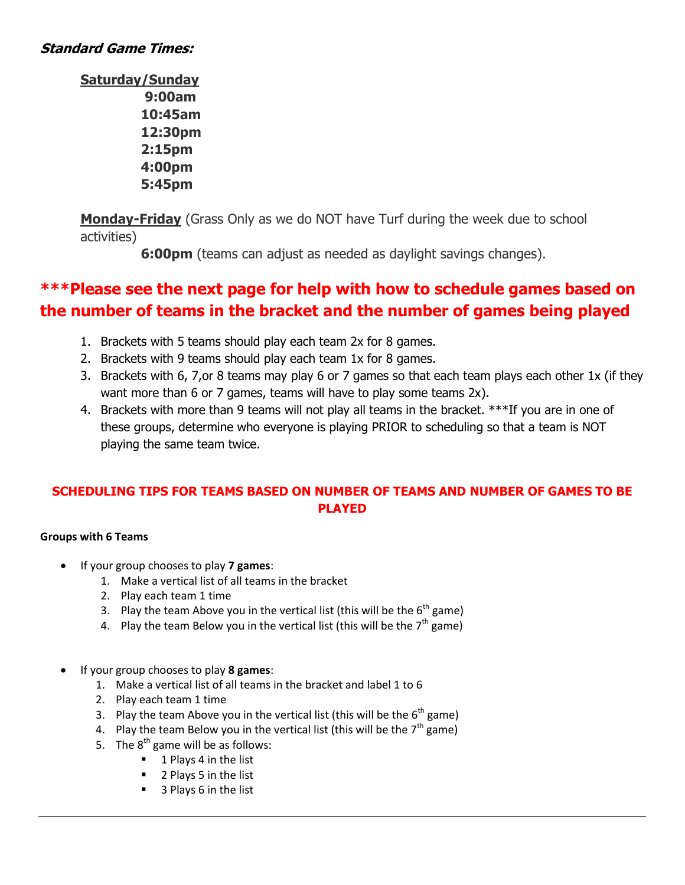### **Standard Game Times:**

**Saturday/Sunday 9:00am 10:45am 12:30pm 2:15pm 4:00pm 5:45pm**

**Monday-Friday** (Grass Only as we do NOT have Turf during the week due to school activities)

**6:00pm** (teams can adjust as needed as daylight savings changes).

# **\*\*\*Please see the next page for help with how to schedule games based on the number of teams in the bracket and the number of games being played**

- 1. Brackets with 5 teams should play each team 2x for 8 games.
- 2. Brackets with 9 teams should play each team 1x for 8 games.
- 3. Brackets with 6, 7,or 8 teams may play 6 or 7 games so that each team plays each other 1x (if they want more than 6 or 7 games, teams will have to play some teams 2x).
- 4. Brackets with more than 9 teams will not play all teams in the bracket. \*\*\*If you are in one of these groups, determine who everyone is playing PRIOR to scheduling so that a team is NOT playing the same team twice.

### **SCHEDULING TIPS FOR TEAMS BASED ON NUMBER OF TEAMS AND NUMBER OF GAMES TO BE PLAYED**

#### **Groups with 6 Teams**

- If your group chooses to play **7 games**:
	- 1. Make a vertical list of all teams in the bracket
	- 2. Play each team 1 time
	- 3. Play the team Above you in the vertical list (this will be the  $6<sup>th</sup>$  game)
	- 4. Play the team Below you in the vertical list (this will be the  $7<sup>th</sup>$  game)
- If your group chooses to play **8 games**:
	- 1. Make a vertical list of all teams in the bracket and label 1 to 6
	- 2. Play each team 1 time
	- 3. Play the team Above you in the vertical list (this will be the  $6<sup>th</sup>$  game)
	- 4. Play the team Below you in the vertical list (this will be the  $7<sup>th</sup>$  game)
	- 5. The  $8<sup>th</sup>$  game will be as follows:
		- 1 Plays 4 in the list
		- 2 Plays 5 in the list
		- 3 Plays 6 in the list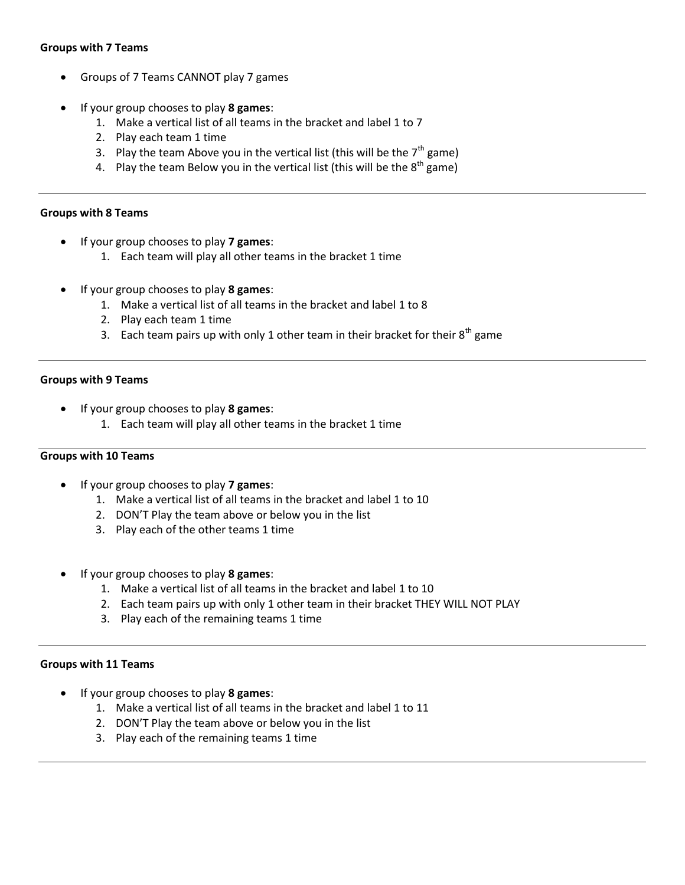#### **Groups with 7 Teams**

- Groups of 7 Teams CANNOT play 7 games
- If your group chooses to play **8 games**:
	- 1. Make a vertical list of all teams in the bracket and label 1 to 7
	- 2. Play each team 1 time
	- 3. Play the team Above you in the vertical list (this will be the  $7<sup>th</sup>$  game)
	- 4. Play the team Below you in the vertical list (this will be the  $8<sup>th</sup>$  game)

#### **Groups with 8 Teams**

- If your group chooses to play **7 games**:
	- 1. Each team will play all other teams in the bracket 1 time
- If your group chooses to play **8 games**:
	- 1. Make a vertical list of all teams in the bracket and label 1 to 8
	- 2. Play each team 1 time
	- 3. Each team pairs up with only 1 other team in their bracket for their  $8^{th}$  game

#### **Groups with 9 Teams**

- If your group chooses to play **8 games**:
	- 1. Each team will play all other teams in the bracket 1 time

#### **Groups with 10 Teams**

- If your group chooses to play **7 games**:
	- 1. Make a vertical list of all teams in the bracket and label 1 to 10
	- 2. DON'T Play the team above or below you in the list
	- 3. Play each of the other teams 1 time
- If your group chooses to play **8 games**:
	- 1. Make a vertical list of all teams in the bracket and label 1 to 10
	- 2. Each team pairs up with only 1 other team in their bracket THEY WILL NOT PLAY
	- 3. Play each of the remaining teams 1 time

#### **Groups with 11 Teams**

- If your group chooses to play **8 games**:
	- 1. Make a vertical list of all teams in the bracket and label 1 to 11
	- 2. DON'T Play the team above or below you in the list
	- 3. Play each of the remaining teams 1 time